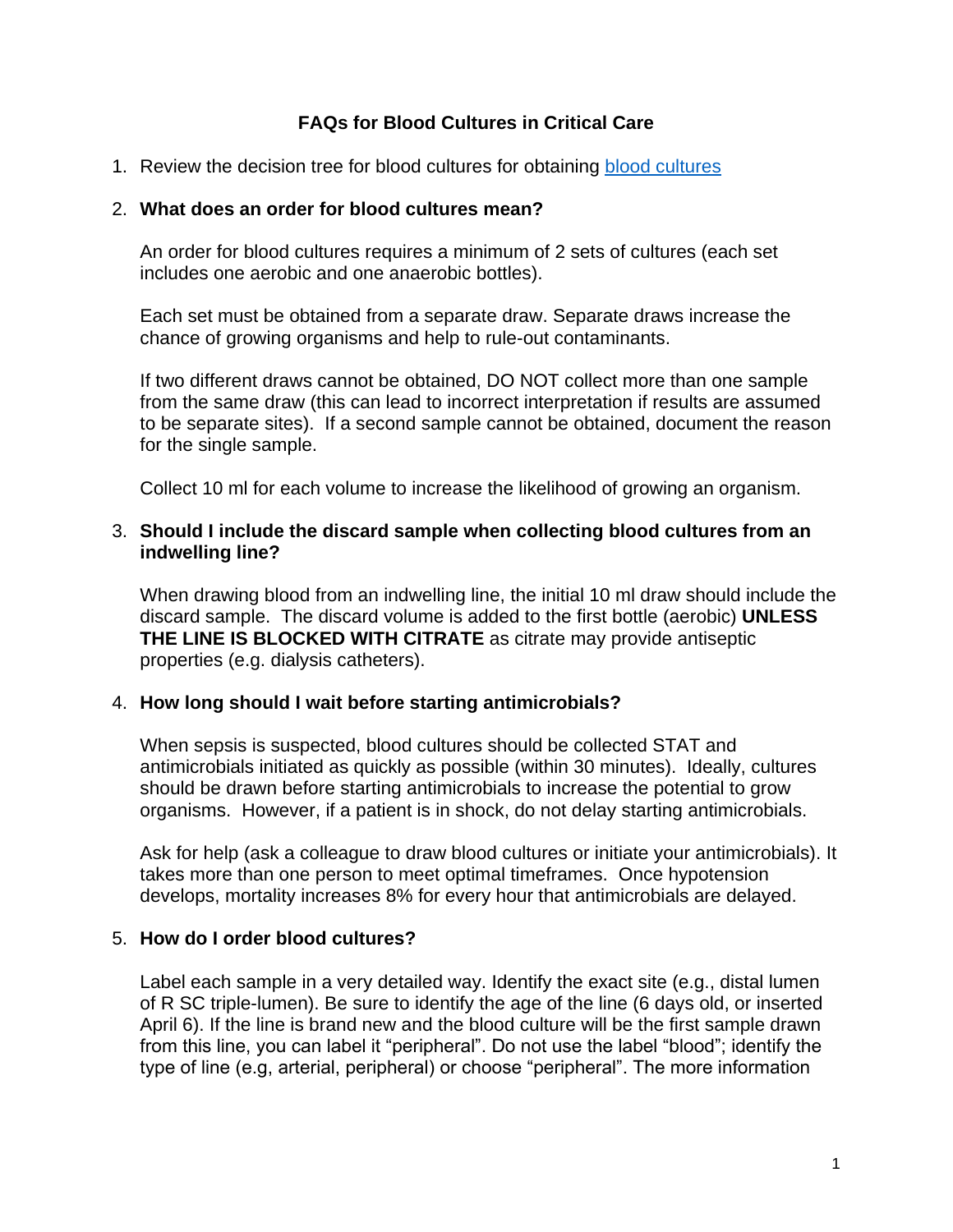# **FAQs for Blood Cultures in Critical Care**

1. Review the decision tree for [blood cultures](http://www.lhsc.on.ca/Health_Professionals/CCTC/protocols/bld_cultures.pdf) for obtaining blood cultures

#### 2. **What does an order for blood cultures mean?**

An order for blood cultures requires a minimum of 2 sets of cultures (each set includes one aerobic and one anaerobic bottles).

Each set must be obtained from a separate draw. Separate draws increase the chance of growing organisms and help to rule-out contaminants.

If two different draws cannot be obtained, DO NOT collect more than one sample from the same draw (this can lead to incorrect interpretation if results are assumed to be separate sites). If a second sample cannot be obtained, document the reason for the single sample.

Collect 10 ml for each volume to increase the likelihood of growing an organism.

#### 3. **Should I include the discard sample when collecting blood cultures from an indwelling line?**

When drawing blood from an indwelling line, the initial 10 ml draw should include the discard sample. The discard volume is added to the first bottle (aerobic) **UNLESS THE LINE IS BLOCKED WITH CITRATE** as citrate may provide antiseptic properties (e.g. dialysis catheters).

### 4. **How long should I wait before starting antimicrobials?**

When sepsis is suspected, blood cultures should be collected STAT and antimicrobials initiated as quickly as possible (within 30 minutes). Ideally, cultures should be drawn before starting antimicrobials to increase the potential to grow organisms. However, if a patient is in shock, do not delay starting antimicrobials.

Ask for help (ask a colleague to draw blood cultures or initiate your antimicrobials). It takes more than one person to meet optimal timeframes. Once hypotension develops, mortality increases 8% for every hour that antimicrobials are delayed.

### 5. **How do I order blood cultures?**

Label each sample in a very detailed way. Identify the exact site (e.g., distal lumen of R SC triple-lumen). Be sure to identify the age of the line (6 days old, or inserted April 6). If the line is brand new and the blood culture will be the first sample drawn from this line, you can label it "peripheral". Do not use the label "blood"; identify the type of line (e.g, arterial, peripheral) or choose "peripheral". The more information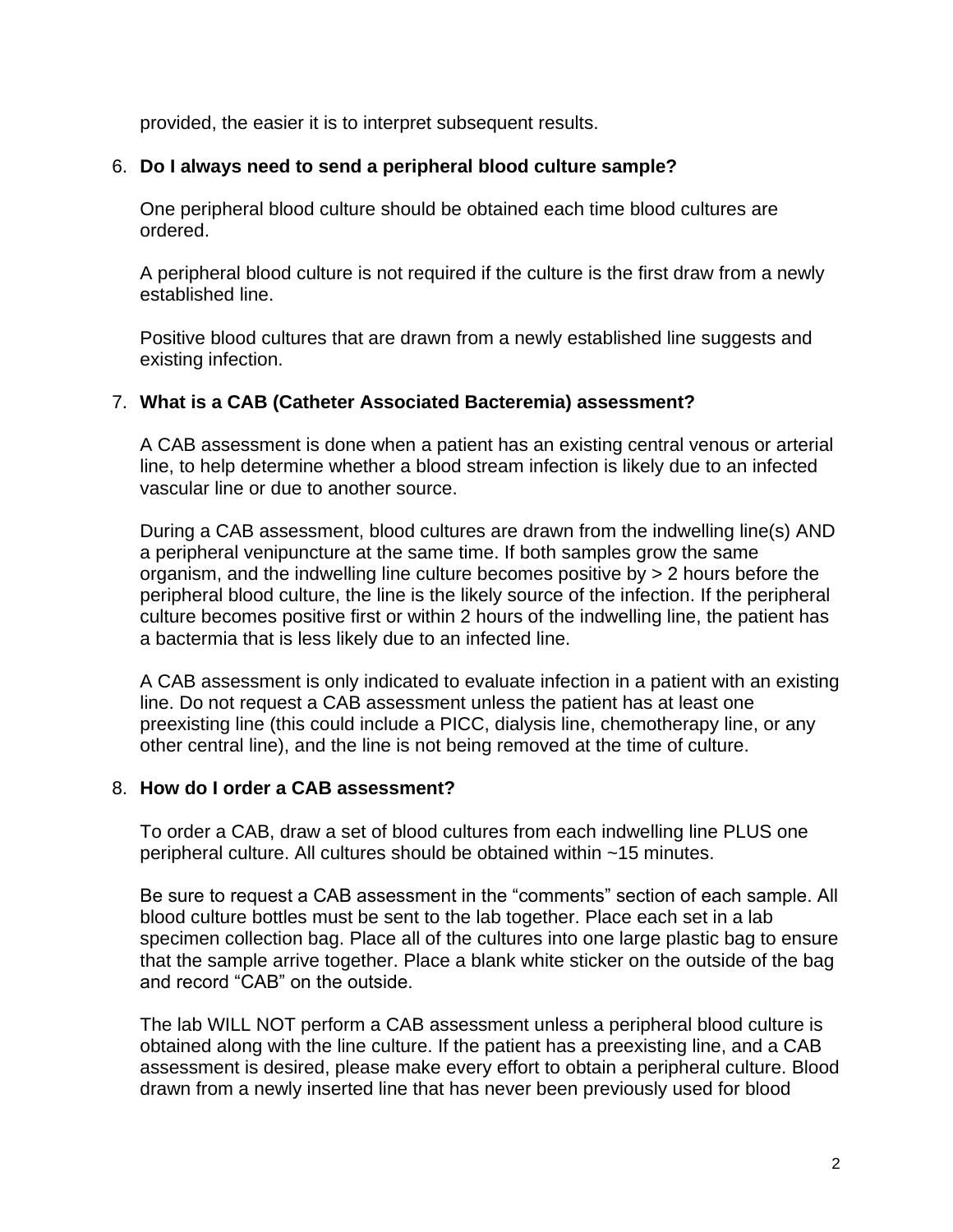provided, the easier it is to interpret subsequent results.

## 6. **Do I always need to send a peripheral blood culture sample?**

One peripheral blood culture should be obtained each time blood cultures are ordered.

A peripheral blood culture is not required if the culture is the first draw from a newly established line.

Positive blood cultures that are drawn from a newly established line suggests and existing infection.

## 7. **What is a CAB (Catheter Associated Bacteremia) assessment?**

A CAB assessment is done when a patient has an existing central venous or arterial line, to help determine whether a blood stream infection is likely due to an infected vascular line or due to another source.

During a CAB assessment, blood cultures are drawn from the indwelling line(s) AND a peripheral venipuncture at the same time. If both samples grow the same organism, and the indwelling line culture becomes positive by > 2 hours before the peripheral blood culture, the line is the likely source of the infection. If the peripheral culture becomes positive first or within 2 hours of the indwelling line, the patient has a bactermia that is less likely due to an infected line.

A CAB assessment is only indicated to evaluate infection in a patient with an existing line. Do not request a CAB assessment unless the patient has at least one preexisting line (this could include a PICC, dialysis line, chemotherapy line, or any other central line), and the line is not being removed at the time of culture.

### 8. **How do I order a CAB assessment?**

To order a CAB, draw a set of blood cultures from each indwelling line PLUS one peripheral culture. All cultures should be obtained within ~15 minutes.

Be sure to request a CAB assessment in the "comments" section of each sample. All blood culture bottles must be sent to the lab together. Place each set in a lab specimen collection bag. Place all of the cultures into one large plastic bag to ensure that the sample arrive together. Place a blank white sticker on the outside of the bag and record "CAB" on the outside.

The lab WILL NOT perform a CAB assessment unless a peripheral blood culture is obtained along with the line culture. If the patient has a preexisting line, and a CAB assessment is desired, please make every effort to obtain a peripheral culture. Blood drawn from a newly inserted line that has never been previously used for blood